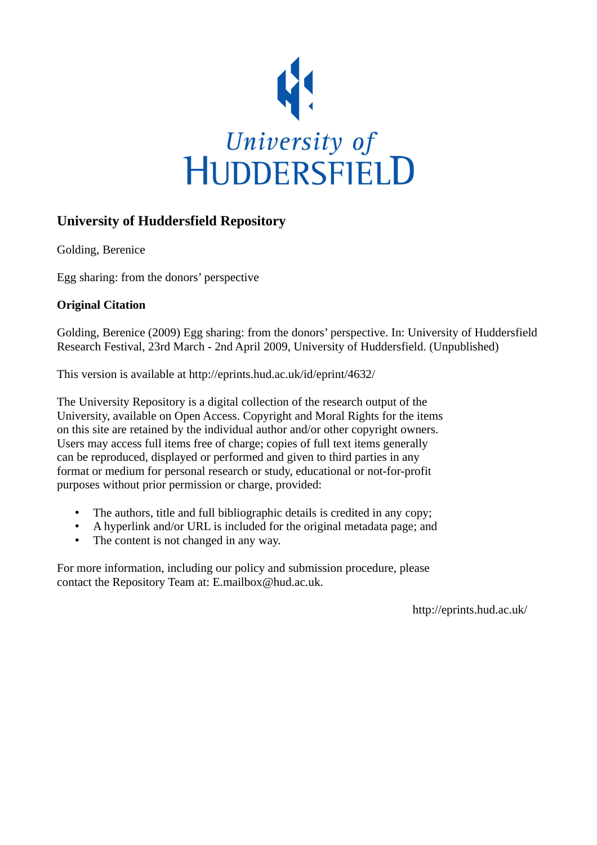

## **University of Huddersfield Repository**

Golding, Berenice

Egg sharing: from the donors' perspective

## **Original Citation**

Golding, Berenice (2009) Egg sharing: from the donors' perspective. In: University of Huddersfield Research Festival, 23rd March - 2nd April 2009, University of Huddersfield. (Unpublished)

This version is available at http://eprints.hud.ac.uk/id/eprint/4632/

The University Repository is a digital collection of the research output of the University, available on Open Access. Copyright and Moral Rights for the items on this site are retained by the individual author and/or other copyright owners. Users may access full items free of charge; copies of full text items generally can be reproduced, displayed or performed and given to third parties in any format or medium for personal research or study, educational or not-for-profit purposes without prior permission or charge, provided:

- The authors, title and full bibliographic details is credited in any copy;
- A hyperlink and/or URL is included for the original metadata page; and
- The content is not changed in any way.

For more information, including our policy and submission procedure, please contact the Repository Team at: E.mailbox@hud.ac.uk.

http://eprints.hud.ac.uk/